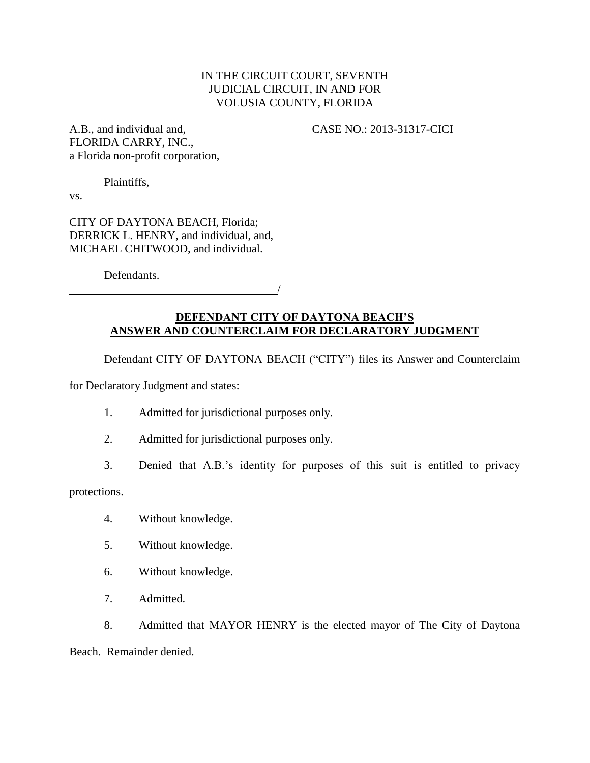# IN THE CIRCUIT COURT, SEVENTH JUDICIAL CIRCUIT, IN AND FOR VOLUSIA COUNTY, FLORIDA

A.B., and individual and, CASE NO.: 2013-31317-CICI FLORIDA CARRY, INC., a Florida non-profit corporation,

Plaintiffs,

vs.

CITY OF DAYTONA BEACH, Florida; DERRICK L. HENRY, and individual, and, MICHAEL CHITWOOD, and individual.

Defendants.

# **DEFENDANT CITY OF DAYTONA BEACH'S ANSWER AND COUNTERCLAIM FOR DECLARATORY JUDGMENT**

/

Defendant CITY OF DAYTONA BEACH ("CITY") files its Answer and Counterclaim

for Declaratory Judgment and states:

- 1. Admitted for jurisdictional purposes only.
- 2. Admitted for jurisdictional purposes only.
- 3. Denied that A.B.'s identity for purposes of this suit is entitled to privacy

protections.

- 4. Without knowledge.
- 5. Without knowledge.
- 6. Without knowledge.
- 7. Admitted.

8. Admitted that MAYOR HENRY is the elected mayor of The City of Daytona

Beach. Remainder denied.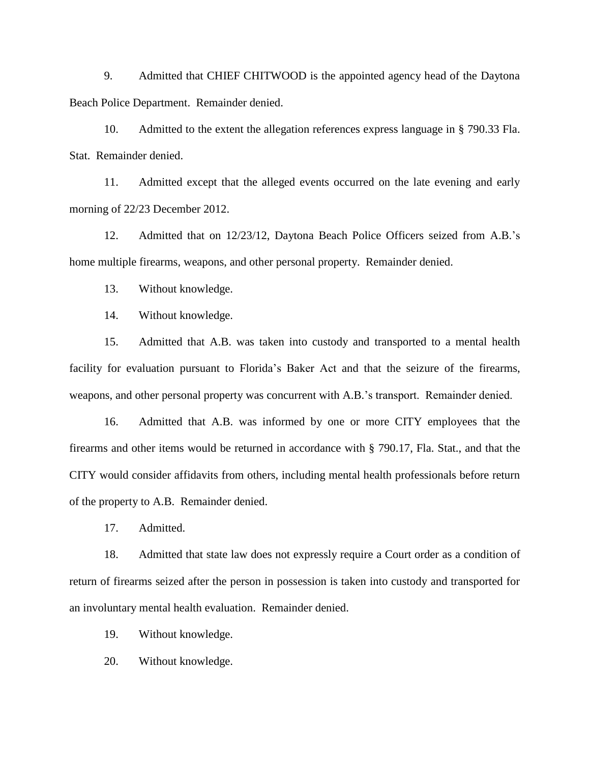9. Admitted that CHIEF CHITWOOD is the appointed agency head of the Daytona Beach Police Department. Remainder denied.

10. Admitted to the extent the allegation references express language in § 790.33 Fla. Stat. Remainder denied.

11. Admitted except that the alleged events occurred on the late evening and early morning of 22/23 December 2012.

12. Admitted that on 12/23/12, Daytona Beach Police Officers seized from A.B.'s home multiple firearms, weapons, and other personal property. Remainder denied.

13. Without knowledge.

14. Without knowledge.

15. Admitted that A.B. was taken into custody and transported to a mental health facility for evaluation pursuant to Florida's Baker Act and that the seizure of the firearms, weapons, and other personal property was concurrent with A.B.'s transport. Remainder denied.

16. Admitted that A.B. was informed by one or more CITY employees that the firearms and other items would be returned in accordance with § 790.17, Fla. Stat., and that the CITY would consider affidavits from others, including mental health professionals before return of the property to A.B. Remainder denied.

17. Admitted.

18. Admitted that state law does not expressly require a Court order as a condition of return of firearms seized after the person in possession is taken into custody and transported for an involuntary mental health evaluation. Remainder denied.

19. Without knowledge.

20. Without knowledge.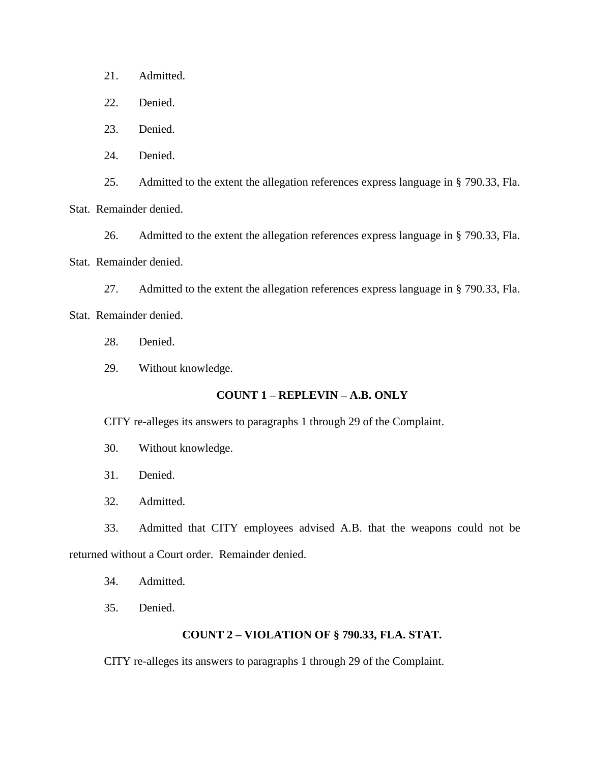21. Admitted.

22. Denied.

23. Denied.

24. Denied.

25. Admitted to the extent the allegation references express language in § 790.33, Fla.

Stat. Remainder denied.

26. Admitted to the extent the allegation references express language in § 790.33, Fla. Stat. Remainder denied.

27. Admitted to the extent the allegation references express language in § 790.33, Fla.

Stat. Remainder denied.

- 28. Denied.
- 29. Without knowledge.

## **COUNT 1 – REPLEVIN – A.B. ONLY**

CITY re-alleges its answers to paragraphs 1 through 29 of the Complaint.

- 30. Without knowledge.
- 31. Denied.
- 32. Admitted.

33. Admitted that CITY employees advised A.B. that the weapons could not be returned without a Court order. Remainder denied.

34. Admitted.

35. Denied.

## **COUNT 2 – VIOLATION OF § 790.33, FLA. STAT.**

CITY re-alleges its answers to paragraphs 1 through 29 of the Complaint.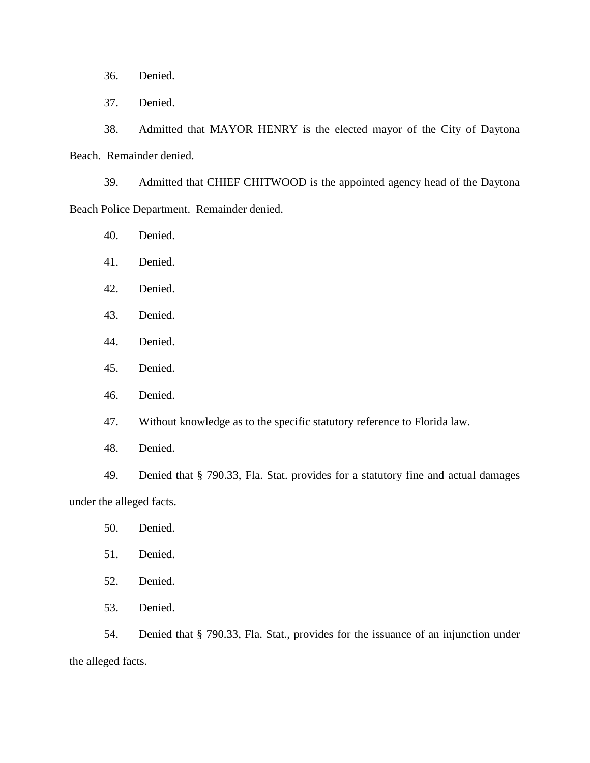36. Denied.

37. Denied.

38. Admitted that MAYOR HENRY is the elected mayor of the City of Daytona Beach. Remainder denied.

39. Admitted that CHIEF CHITWOOD is the appointed agency head of the Daytona Beach Police Department. Remainder denied.

- 40. Denied.
- 41. Denied.
- 42. Denied.
- 43. Denied.
- 44. Denied.
- 45. Denied.
- 46. Denied.
- 47. Without knowledge as to the specific statutory reference to Florida law.
- 48. Denied.

49. Denied that § 790.33, Fla. Stat. provides for a statutory fine and actual damages under the alleged facts.

- 50. Denied.
- 51. Denied.
- 52. Denied.
- 53. Denied.

54. Denied that § 790.33, Fla. Stat., provides for the issuance of an injunction under the alleged facts.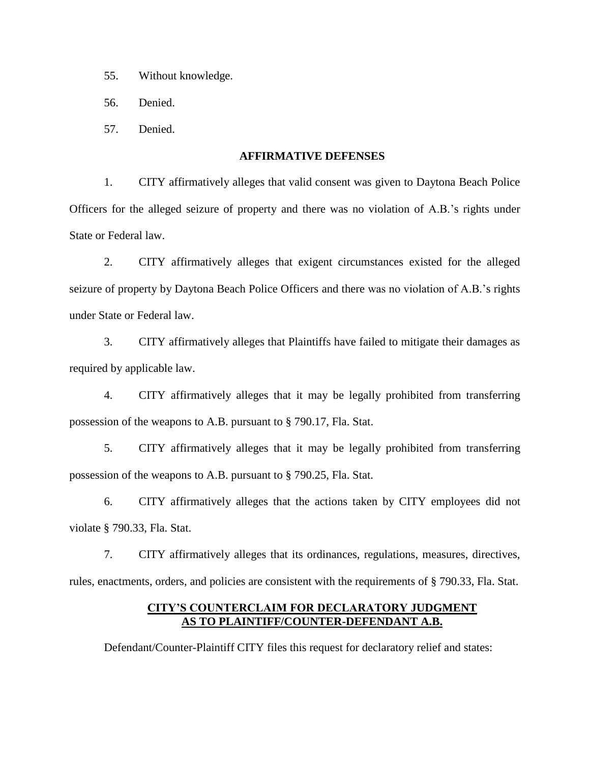- 55. Without knowledge.
- 56. Denied.
- 57. Denied.

#### **AFFIRMATIVE DEFENSES**

1. CITY affirmatively alleges that valid consent was given to Daytona Beach Police Officers for the alleged seizure of property and there was no violation of A.B.'s rights under State or Federal law.

2. CITY affirmatively alleges that exigent circumstances existed for the alleged seizure of property by Daytona Beach Police Officers and there was no violation of A.B.'s rights under State or Federal law.

3. CITY affirmatively alleges that Plaintiffs have failed to mitigate their damages as required by applicable law.

4. CITY affirmatively alleges that it may be legally prohibited from transferring possession of the weapons to A.B. pursuant to § 790.17, Fla. Stat.

5. CITY affirmatively alleges that it may be legally prohibited from transferring possession of the weapons to A.B. pursuant to § 790.25, Fla. Stat.

6. CITY affirmatively alleges that the actions taken by CITY employees did not violate § 790.33, Fla. Stat.

7. CITY affirmatively alleges that its ordinances, regulations, measures, directives, rules, enactments, orders, and policies are consistent with the requirements of § 790.33, Fla. Stat.

## **CITY'S COUNTERCLAIM FOR DECLARATORY JUDGMENT AS TO PLAINTIFF/COUNTER-DEFENDANT A.B.**

Defendant/Counter-Plaintiff CITY files this request for declaratory relief and states: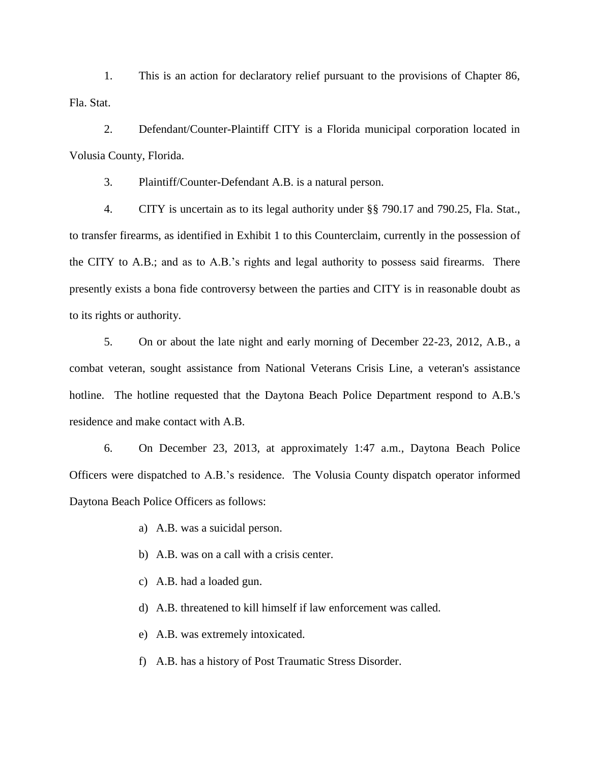1. This is an action for declaratory relief pursuant to the provisions of Chapter 86, Fla. Stat.

2. Defendant/Counter-Plaintiff CITY is a Florida municipal corporation located in Volusia County, Florida.

3. Plaintiff/Counter-Defendant A.B. is a natural person.

4. CITY is uncertain as to its legal authority under §§ 790.17 and 790.25, Fla. Stat., to transfer firearms, as identified in Exhibit 1 to this Counterclaim, currently in the possession of the CITY to A.B.; and as to A.B.'s rights and legal authority to possess said firearms. There presently exists a bona fide controversy between the parties and CITY is in reasonable doubt as to its rights or authority.

5. On or about the late night and early morning of December 22-23, 2012, A.B., a combat veteran, sought assistance from National Veterans Crisis Line, a veteran's assistance hotline. The hotline requested that the Daytona Beach Police Department respond to A.B.'s residence and make contact with A.B.

6. On December 23, 2013, at approximately 1:47 a.m., Daytona Beach Police Officers were dispatched to A.B.'s residence. The Volusia County dispatch operator informed Daytona Beach Police Officers as follows:

- a) A.B. was a suicidal person.
- b) A.B. was on a call with a crisis center.
- c) A.B. had a loaded gun.
- d) A.B. threatened to kill himself if law enforcement was called.
- e) A.B. was extremely intoxicated.
- f) A.B. has a history of Post Traumatic Stress Disorder.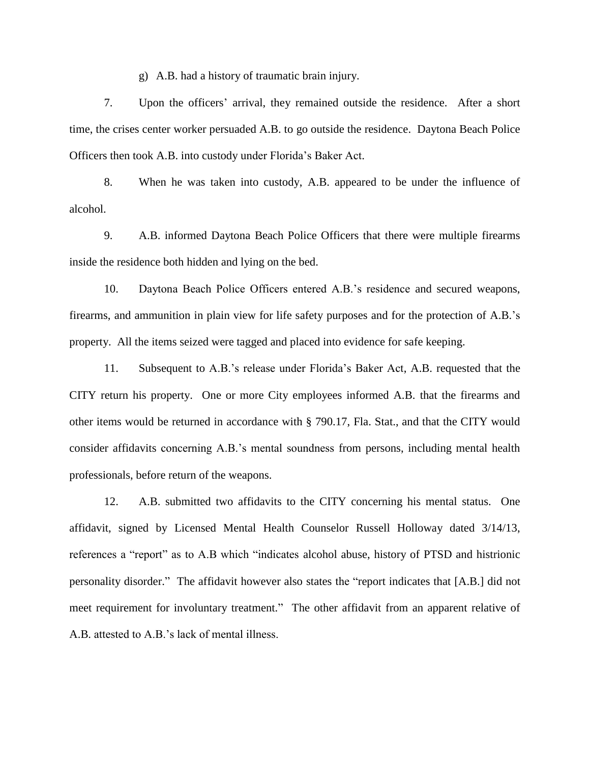g) A.B. had a history of traumatic brain injury.

7. Upon the officers' arrival, they remained outside the residence. After a short time, the crises center worker persuaded A.B. to go outside the residence. Daytona Beach Police Officers then took A.B. into custody under Florida's Baker Act.

8. When he was taken into custody, A.B. appeared to be under the influence of alcohol.

9. A.B. informed Daytona Beach Police Officers that there were multiple firearms inside the residence both hidden and lying on the bed.

10. Daytona Beach Police Officers entered A.B.'s residence and secured weapons, firearms, and ammunition in plain view for life safety purposes and for the protection of A.B.'s property. All the items seized were tagged and placed into evidence for safe keeping.

11. Subsequent to A.B.'s release under Florida's Baker Act, A.B. requested that the CITY return his property. One or more City employees informed A.B. that the firearms and other items would be returned in accordance with § 790.17, Fla. Stat., and that the CITY would consider affidavits concerning A.B.'s mental soundness from persons, including mental health professionals, before return of the weapons.

12. A.B. submitted two affidavits to the CITY concerning his mental status. One affidavit, signed by Licensed Mental Health Counselor Russell Holloway dated 3/14/13, references a "report" as to A.B which "indicates alcohol abuse, history of PTSD and histrionic personality disorder." The affidavit however also states the "report indicates that [A.B.] did not meet requirement for involuntary treatment." The other affidavit from an apparent relative of A.B. attested to A.B.'s lack of mental illness.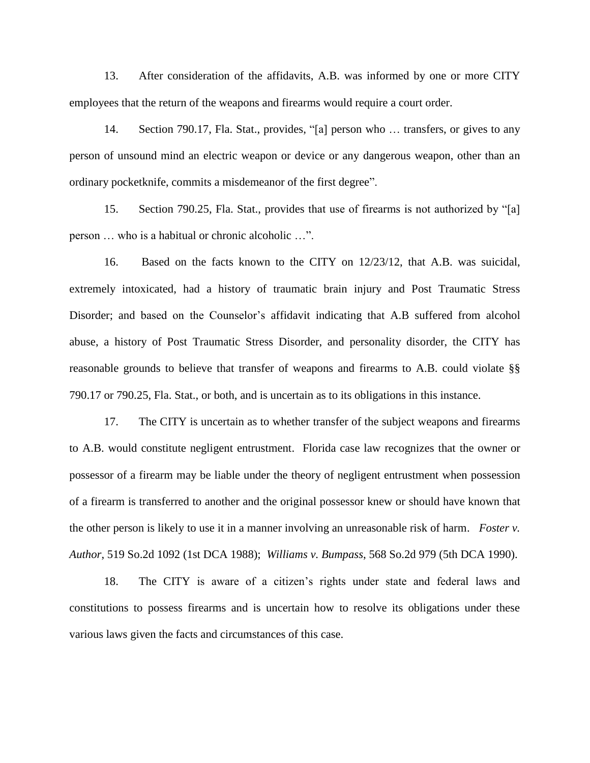13. After consideration of the affidavits, A.B. was informed by one or more CITY employees that the return of the weapons and firearms would require a court order.

14. Section 790.17, Fla. Stat., provides, "[a] person who … transfers, or gives to any person of unsound mind an electric weapon or device or any dangerous weapon, other than an ordinary pocketknife, commits a misdemeanor of the first degree".

15. Section 790.25, Fla. Stat., provides that use of firearms is not authorized by "[a] person … who is a habitual or chronic alcoholic …".

16. Based on the facts known to the CITY on 12/23/12, that A.B. was suicidal, extremely intoxicated, had a history of traumatic brain injury and Post Traumatic Stress Disorder; and based on the Counselor's affidavit indicating that A.B suffered from alcohol abuse, a history of Post Traumatic Stress Disorder, and personality disorder, the CITY has reasonable grounds to believe that transfer of weapons and firearms to A.B. could violate §§ 790.17 or 790.25, Fla. Stat., or both, and is uncertain as to its obligations in this instance.

17. The CITY is uncertain as to whether transfer of the subject weapons and firearms to A.B. would constitute negligent entrustment. Florida case law recognizes that the owner or possessor of a firearm may be liable under the theory of negligent entrustment when possession of a firearm is transferred to another and the original possessor knew or should have known that the other person is likely to use it in a manner involving an unreasonable risk of harm. *Foster v. Author*, 519 So.2d 1092 (1st DCA 1988); *Williams v. Bumpass*, 568 So.2d 979 (5th DCA 1990).

18. The CITY is aware of a citizen's rights under state and federal laws and constitutions to possess firearms and is uncertain how to resolve its obligations under these various laws given the facts and circumstances of this case.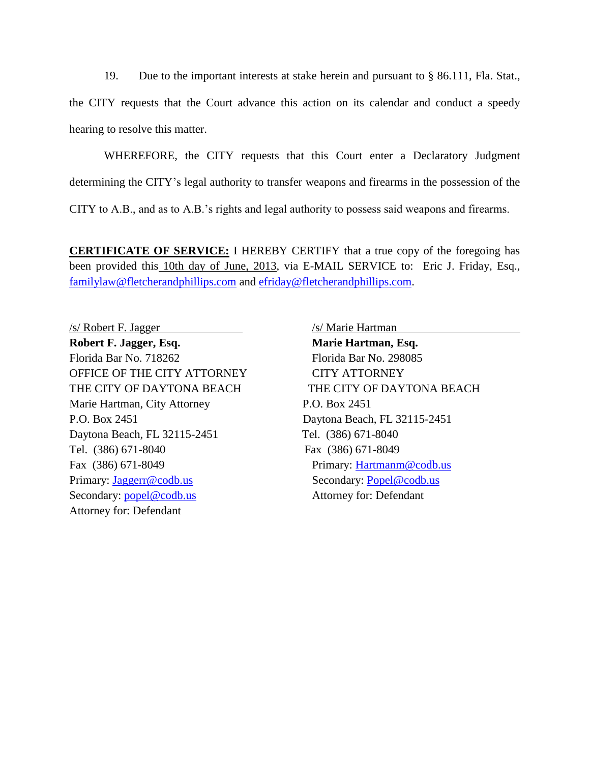19. Due to the important interests at stake herein and pursuant to § 86.111, Fla. Stat.,

the CITY requests that the Court advance this action on its calendar and conduct a speedy hearing to resolve this matter.

WHEREFORE, the CITY requests that this Court enter a Declaratory Judgment

determining the CITY's legal authority to transfer weapons and firearms in the possession of the

CITY to A.B., and as to A.B.'s rights and legal authority to possess said weapons and firearms.

**CERTIFICATE OF SERVICE:** I HEREBY CERTIFY that a true copy of the foregoing has been provided this 10th day of June, 2013, via E-MAIL SERVICE to: Eric J. Friday, Esq., [familylaw@fletcherandphillips.com](mailto:familylaw@fletcherandphillips.com) and [efriday@fletcherandphillips.com.](mailto:efriday@fletcherandphillips.com)

/s/ Robert F. Jagger /s/ Marie Hartman **Robert F. Jagger, Esq. Marie Hartman, Esq.** Florida Bar No. 718262 Florida Bar No. 298085 OFFICE OF THE CITY ATTORNEY CITY ATTORNEY Marie Hartman, City Attorney P.O. Box 2451 P.O. Box 2451 Daytona Beach, FL 32115-2451 Daytona Beach, FL 32115-2451 Tel. (386) 671-8040 Tel. (386) 671-8040 Fax (386) 671-8049 Fax (386) 671-8049 Primary: Hartmanm @codb.us Primary: [Jaggerr@codb.us](mailto:Jaggerr@codb.us) Secondary: <u>Popel@codb.us</u> Secondary: [popel@codb.us](mailto:popel@codb.us) Attorney for: Defendant Attorney for: Defendant

THE CITY OF DAYTONA BEACH THE CITY OF DAYTONA BEACH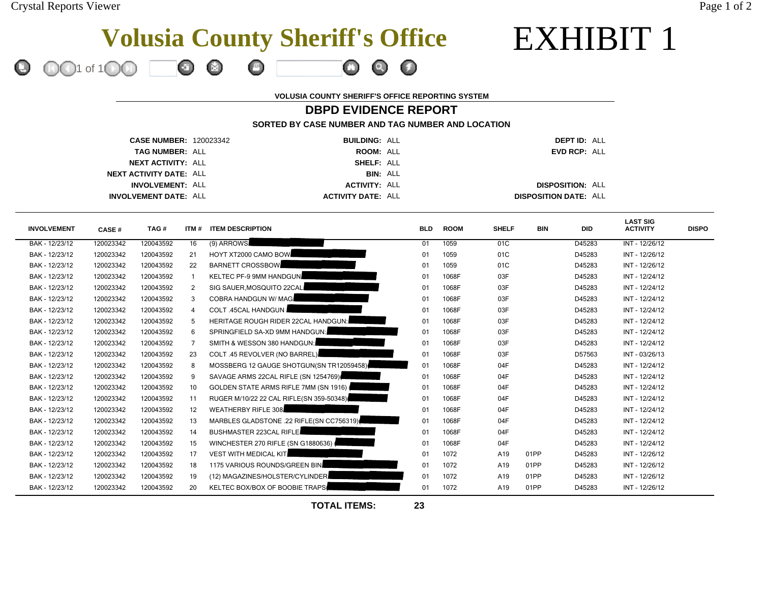1 of 1

EXHIBIT 1

# **Volusia County Sheriff's Office**

 $\boldsymbol{\Theta}$ 

**VOLUSIA COUNTY SHERIFF'S OFFICE REPORTING SYSTEM**

# **DBPD EVIDENCE REPORT**

 $\bullet$ 

 $\bullet$ 

**SORTED BY CASE NUMBER AND TAG NUMBER AND LOCATION**

| <b>CASE NUMBER: 120023342</b>  | <b>BUILDING: ALL</b>      |                 | <b>DEPT ID: ALL</b>          |
|--------------------------------|---------------------------|-----------------|------------------------------|
| <b>TAG NUMBER: ALL</b>         | ROOM: ALL                 |                 | EVD RCP: ALL                 |
| <b>NEXT ACTIVITY: ALL</b>      | SHELF: ALL                |                 |                              |
| <b>NEXT ACTIVITY DATE: ALL</b> |                           | <b>BIN: ALL</b> |                              |
| <b>INVOLVEMENT: ALL</b>        | <b>ACTIVITY: ALL</b>      |                 | <b>DISPOSITION: ALL</b>      |
| <b>INVOLVEMENT DATE: ALL</b>   | <b>ACTIVITY DATE: ALL</b> |                 | <b>DISPOSITION DATE: ALL</b> |

Ö.

| <b>INVOLVEMENT</b> | <b>CASE#</b> | TAG#      | ITM # | <b>ITEM DESCRIPTION</b>                      | <b>BLD</b> | <b>ROOM</b> | <b>SHELF</b> | <b>BIN</b> | <b>DID</b> | <b>LAST SIG</b><br><b>ACTIVITY</b> | <b>DISPO</b> |
|--------------------|--------------|-----------|-------|----------------------------------------------|------------|-------------|--------------|------------|------------|------------------------------------|--------------|
| BAK - 12/23/12     | 120023342    | 120043592 | 16    | (9) ARROWS                                   | 01         | 1059        | 01C          |            | D45283     | INT - 12/26/12                     |              |
| BAK - 12/23/12     | 120023342    | 120043592 | 21    | HOYT XT2000 CAMO BOW                         | 01         | 1059        | 01C          |            | D45283     | INT - 12/26/12                     |              |
| BAK - 12/23/12     | 120023342    | 120043592 | 22    | <b>BARNETT CROSSBOW</b>                      | 01         | 1059        | 01C          |            | D45283     | INT - 12/26/12                     |              |
| BAK - 12/23/12     | 120023342    | 120043592 |       | KELTEC PF-9 9MM HANDGUN                      | 01         | 1068F       | 03F          |            | D45283     | INT - 12/24/12                     |              |
| BAK - 12/23/12     | 120023342    | 120043592 | 2     | SIG SAUER, MOSQUITO 22CAL                    | 01         | 1068F       | 03F          |            | D45283     | INT - 12/24/12                     |              |
| BAK - 12/23/12     | 120023342    | 120043592 | 3     | <b>COBRA HANDGUN W/ MAG</b>                  | 01         | 1068F       | 03F          |            | D45283     | INT - 12/24/12                     |              |
| BAK - 12/23/12     | 120023342    | 120043592 | 4     | <b>COLT .45CAL HANDGUN</b>                   | 01         | 1068F       | 03F          |            | D45283     | INT - 12/24/12                     |              |
| BAK - 12/23/12     | 120023342    | 120043592 |       | <b>HERITAGE ROUGH RIDER 22CAL HANDGUN:</b>   | 01         | 1068F       | 03F          |            | D45283     | INT - 12/24/12                     |              |
| BAK - 12/23/12     | 120023342    | 120043592 | 6     | SPRINGFIELD SA-XD 9MM HANDGUN:               | 01         | 1068F       | 03F          |            | D45283     | INT - 12/24/12                     |              |
| BAK - 12/23/12     | 120023342    | 120043592 |       | SMITH & WESSON 380 HANDGUN:                  | 01         | 1068F       | 03F          |            | D45283     | INT - 12/24/12                     |              |
| BAK - 12/23/12     | 120023342    | 120043592 | 23    | <b>COLT .45 REVOLVER (NO BARREL)</b>         | 01         | 1068F       | 03F          |            | D57563     | INT - 03/26/13                     |              |
| BAK - 12/23/12     | 120023342    | 120043592 | 8     | MOSSBERG 12 GAUGE SHOTGUN(SN TR12059458)     | 01         | 1068F       | 04F          |            | D45283     | INT - 12/24/12                     |              |
| BAK - 12/23/12     | 120023342    | 120043592 | 9     | SAVAGE ARMS 22CAL RIFLE (SN 1254769)         | 01         | 1068F       | 04F          |            | D45283     | INT - 12/24/12                     |              |
| BAK - 12/23/12     | 120023342    | 120043592 | 10    | <b>GOLDEN STATE ARMS RIFLE 7MM (SN 1916)</b> | 01         | 1068F       | 04F          |            | D45283     | INT - 12/24/12                     |              |
| BAK - 12/23/12     | 120023342    | 120043592 | 11    | RUGER M/10/22 22 CAL RIFLE(SN 359-50348)     | 01         | 1068F       | 04F          |            | D45283     | INT - 12/24/12                     |              |
| BAK - 12/23/12     | 120023342    | 120043592 | 12    | <b>WEATHERBY RIFLE 308</b>                   | 01         | 1068F       | 04F          |            | D45283     | INT - 12/24/12                     |              |
| BAK - 12/23/12     | 120023342    | 120043592 | 13    | MARBLES GLADSTONE .22 RIFLE(SN CC756319)     | 01         | 1068F       | 04F          |            | D45283     | INT - 12/24/12                     |              |
| BAK - 12/23/12     | 120023342    | 120043592 | 14    | <b>BUSHMASTER 223CAL RIFLE.</b>              | 01         | 1068F       | 04F          |            | D45283     | INT - 12/24/12                     |              |
| BAK - 12/23/12     | 120023342    | 120043592 | 15    | WINCHESTER 270 RIFLE (SN G1880636)           | 01         | 1068F       | 04F          |            | D45283     | INT - 12/24/12                     |              |
| BAK - 12/23/12     | 120023342    | 120043592 | 17    | <b>VEST WITH MEDICAL KIT</b>                 | 01         | 1072        | A19          | 01PP       | D45283     | INT - 12/26/12                     |              |
| BAK - 12/23/12     | 120023342    | 120043592 | 18    | 1175 VARIOUS ROUNDS/GREEN BIN                | 01         | 1072        | A19          | 01PP       | D45283     | INT - 12/26/12                     |              |
| BAK - 12/23/12     | 120023342    | 120043592 | 19    | (12) MAGAZINES/HOLSTER/CYLINDER              | 01         | 1072        | A19          | 01PP       | D45283     | INT - 12/26/12                     |              |
| BAK - 12/23/12     | 120023342    | 120043592 | 20    | KELTEC BOX/BOX OF BOOBIE TRAPS               | 01         | 1072        | A19          | 01PP       | D45283     | INT - 12/26/12                     |              |

**TOTAL ITEMS:**

**23**